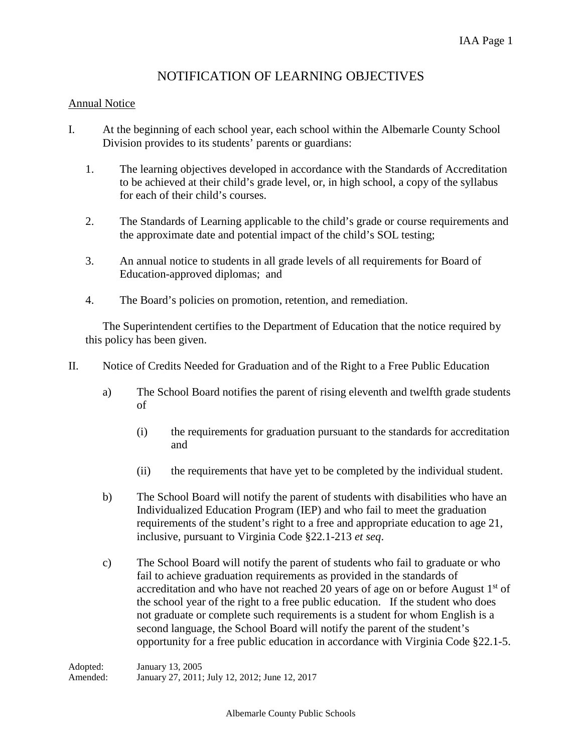## NOTIFICATION OF LEARNING OBJECTIVES

## Annual Notice

- I. At the beginning of each school year, each school within the Albemarle County School Division provides to its students' parents or guardians:
	- 1. The learning objectives developed in accordance with the Standards of Accreditation to be achieved at their child's grade level, or, in high school, a copy of the syllabus for each of their child's courses.
	- 2. The Standards of Learning applicable to the child's grade or course requirements and the approximate date and potential impact of the child's SOL testing;
	- 3. An annual notice to students in all grade levels of all requirements for Board of Education-approved diplomas; and
	- 4. The Board's policies on promotion, retention, and remediation.

The Superintendent certifies to the Department of Education that the notice required by this policy has been given.

- II. Notice of Credits Needed for Graduation and of the Right to a Free Public Education
	- a) The School Board notifies the parent of rising eleventh and twelfth grade students of
		- (i) the requirements for graduation pursuant to the standards for accreditation and
		- (ii) the requirements that have yet to be completed by the individual student.
	- b) The School Board will notify the parent of students with disabilities who have an Individualized Education Program (IEP) and who fail to meet the graduation requirements of the student's right to a free and appropriate education to age 21, inclusive, pursuant to Virginia Code §22.1-213 *et seq*.
	- c) The School Board will notify the parent of students who fail to graduate or who fail to achieve graduation requirements as provided in the standards of accreditation and who have not reached 20 years of age on or before August  $1<sup>st</sup>$  of the school year of the right to a free public education. If the student who does not graduate or complete such requirements is a student for whom English is a second language, the School Board will notify the parent of the student's opportunity for a free public education in accordance with Virginia Code §22.1-5.

Adopted: January 13, 2005 Amended: January 27, 2011; July 12, 2012; June 12, 2017